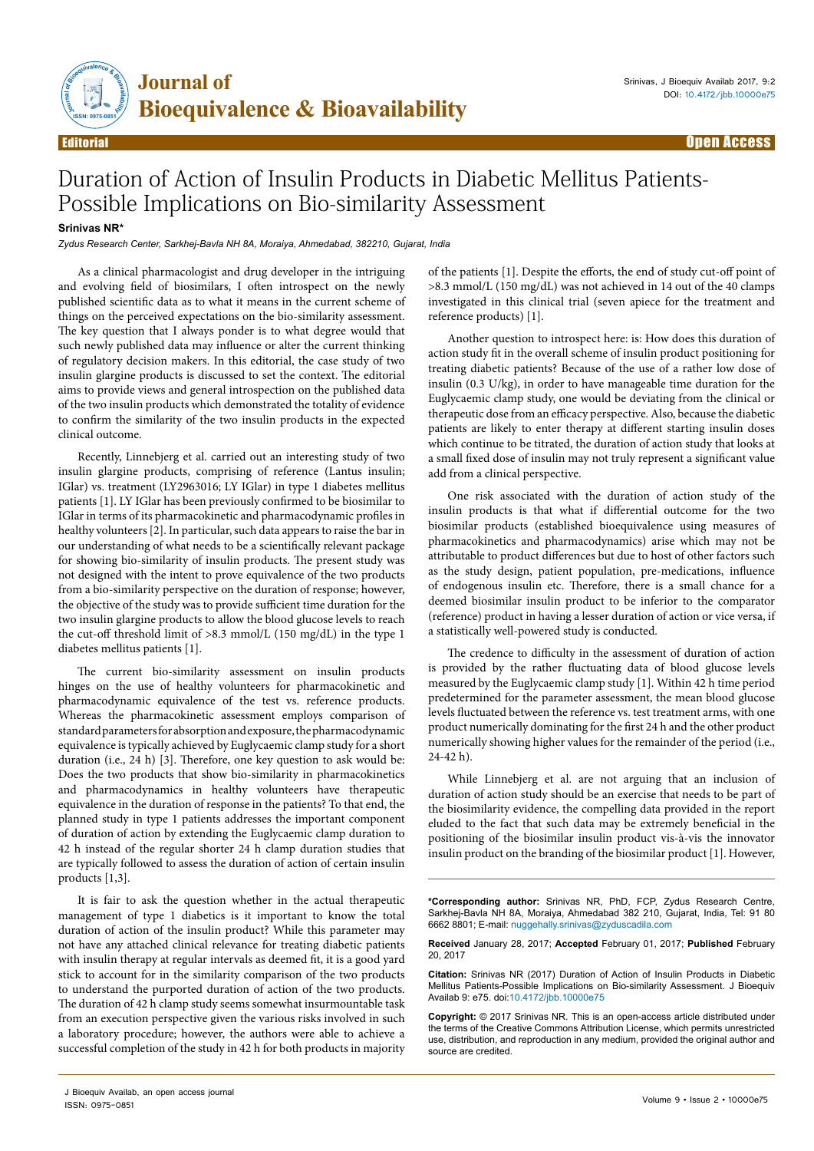

## Duration of Action of Insulin Products in Diabetic Mellitus Patients-Possible Implications on Bio-similarity Assessment

## **Srinivas NR\***

*Zydus Research Center, Sarkhej-Bavla NH 8A, Moraiya, Ahmedabad, 382210, Gujarat, India*

As a clinical pharmacologist and drug developer in the intriguing and evolving field of biosimilars, I often introspect on the newly published scientific data as to what it means in the current scheme of things on the perceived expectations on the bio-similarity assessment. The key question that I always ponder is to what degree would that such newly published data may influence or alter the current thinking of regulatory decision makers. In this editorial, the case study of two insulin glargine products is discussed to set the context. The editorial aims to provide views and general introspection on the published data of the two insulin products which demonstrated the totality of evidence to confirm the similarity of the two insulin products in the expected clinical outcome.

Recently, Linnebjerg et al. carried out an interesting study of two insulin glargine products, comprising of reference (Lantus insulin; IGlar) vs. treatment (LY2963016; LY IGlar) in type 1 diabetes mellitus patients [1]. LY IGlar has been previously confirmed to be biosimilar to IGlar in terms of its pharmacokinetic and pharmacodynamic profiles in healthy volunteers [2]. In particular, such data appears to raise the bar in our understanding of what needs to be a scientifically relevant package for showing bio-similarity of insulin products. The present study was not designed with the intent to prove equivalence of the two products from a bio-similarity perspective on the duration of response; however, the objective of the study was to provide sufficient time duration for the two insulin glargine products to allow the blood glucose levels to reach the cut-off threshold limit of >8.3 mmol/L (150 mg/dL) in the type 1 diabetes mellitus patients [1].

The current bio-similarity assessment on insulin products hinges on the use of healthy volunteers for pharmacokinetic and pharmacodynamic equivalence of the test vs. reference products. Whereas the pharmacokinetic assessment employs comparison of standard parameters for absorption and exposure, the pharmacodynamic equivalence is typically achieved by Euglycaemic clamp study for a short duration (i.e., 24 h) [3]. Therefore, one key question to ask would be: Does the two products that show bio-similarity in pharmacokinetics and pharmacodynamics in healthy volunteers have therapeutic equivalence in the duration of response in the patients? To that end, the planned study in type 1 patients addresses the important component of duration of action by extending the Euglycaemic clamp duration to 42 h instead of the regular shorter 24 h clamp duration studies that are typically followed to assess the duration of action of certain insulin products [1,3].

It is fair to ask the question whether in the actual therapeutic management of type 1 diabetics is it important to know the total duration of action of the insulin product? While this parameter may not have any attached clinical relevance for treating diabetic patients with insulin therapy at regular intervals as deemed fit, it is a good yard stick to account for in the similarity comparison of the two products to understand the purported duration of action of the two products. The duration of 42 h clamp study seems somewhat insurmountable task from an execution perspective given the various risks involved in such a laboratory procedure; however, the authors were able to achieve a successful completion of the study in 42 h for both products in majority

of the patients [1]. Despite the efforts, the end of study cut-off point of >8.3 mmol/L (150 mg/dL) was not achieved in 14 out of the 40 clamps investigated in this clinical trial (seven apiece for the treatment and reference products) [1].

Another question to introspect here: is: How does this duration of action study fit in the overall scheme of insulin product positioning for treating diabetic patients? Because of the use of a rather low dose of insulin (0.3 U/kg), in order to have manageable time duration for the Euglycaemic clamp study, one would be deviating from the clinical or therapeutic dose from an efficacy perspective. Also, because the diabetic patients are likely to enter therapy at different starting insulin doses which continue to be titrated, the duration of action study that looks at a small fixed dose of insulin may not truly represent a significant value add from a clinical perspective.

One risk associated with the duration of action study of the insulin products is that what if differential outcome for the two biosimilar products (established bioequivalence using measures of pharmacokinetics and pharmacodynamics) arise which may not be attributable to product differences but due to host of other factors such as the study design, patient population, pre-medications, influence of endogenous insulin etc. Therefore, there is a small chance for a deemed biosimilar insulin product to be inferior to the comparator (reference) product in having a lesser duration of action or vice versa, if a statistically well-powered study is conducted.

The credence to difficulty in the assessment of duration of action is provided by the rather fluctuating data of blood glucose levels measured by the Euglycaemic clamp study [1]. Within 42 h time period predetermined for the parameter assessment, the mean blood glucose levels fluctuated between the reference vs. test treatment arms, with one product numerically dominating for the first 24 h and the other product numerically showing higher values for the remainder of the period (i.e., 24-42 h).

While Linnebjerg et al. are not arguing that an inclusion of duration of action study should be an exercise that needs to be part of the biosimilarity evidence, the compelling data provided in the report eluded to the fact that such data may be extremely beneficial in the positioning of the biosimilar insulin product vis-à-vis the innovator insulin product on the branding of the biosimilar product [1]. However,

**\*Corresponding author:** Srinivas NR, PhD, FCP, Zydus Research Centre, Sarkhej-Bavla NH 8A, Moraiya, Ahmedabad 382 210, Gujarat, India, Tel: 91 80 6662 8801; E-mail: [nuggehally.srinivas@zyduscadila.com](mailto:nuggehally.srinivas@zyduscadila.com)

**Received** January 28, 2017; **Accepted** February 01, 2017; **Published** February 20, 2017

**Citation:** Srinivas NR (2017) Duration of Action of Insulin Products in Diabetic Mellitus Patients-Possible Implications on Bio-similarity Assessment. J Bioequiv Availab 9: e75. doi:10.4172/jbb.10000e75

**Copyright:** © 2017 Srinivas NR. This is an open-access article distributed under the terms of the Creative Commons Attribution License, which permits unrestricted use, distribution, and reproduction in any medium, provided the original author and source are credited.